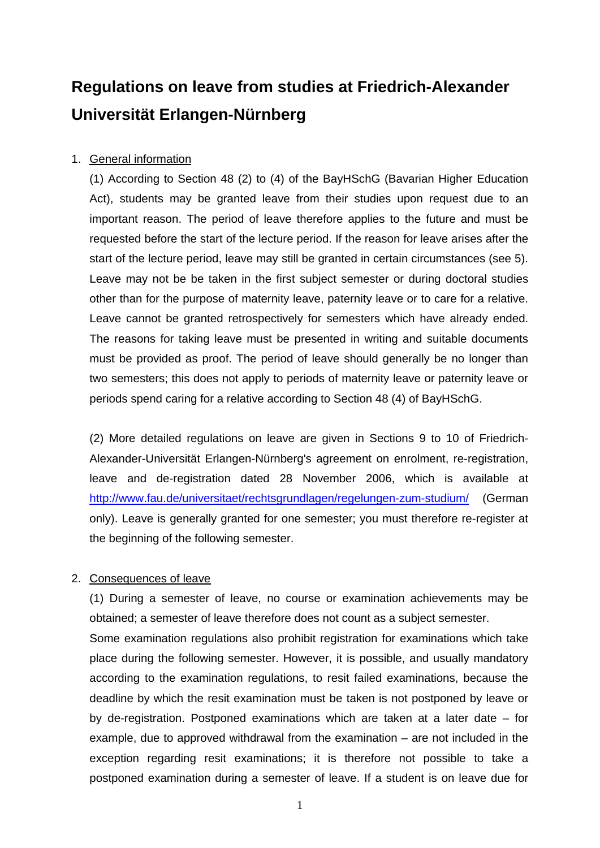# **Regulations on leave from studies at Friedrich-Alexander Universität Erlangen-Nürnberg**

## 1. General information

(1) According to Section 48 (2) to (4) of the BayHSchG (Bavarian Higher Education Act), students may be granted leave from their studies upon request due to an important reason. The period of leave therefore applies to the future and must be requested before the start of the lecture period. If the reason for leave arises after the start of the lecture period, leave may still be granted in certain circumstances (see 5). Leave may not be be taken in the first subject semester or during doctoral studies other than for the purpose of maternity leave, paternity leave or to care for a relative. Leave cannot be granted retrospectively for semesters which have already ended. The reasons for taking leave must be presented in writing and suitable documents must be provided as proof. The period of leave should generally be no longer than two semesters; this does not apply to periods of maternity leave or paternity leave or periods spend caring for a relative according to Section 48 (4) of BayHSchG.

(2) More detailed regulations on leave are given in Sections 9 to 10 of Friedrich-Alexander-Universität Erlangen-Nürnberg's agreement on enrolment, re-registration, leave and de-registration dated 28 November 2006, which is available at http://www.fau.de/universitaet/rechtsgrundlagen/regelungen-zum-studium/ (German only). Leave is generally granted for one semester; you must therefore re-register at the beginning of the following semester.

## 2. Consequences of leave

 (1) During a semester of leave, no course or examination achievements may be obtained; a semester of leave therefore does not count as a subject semester. Some examination regulations also prohibit registration for examinations which take place during the following semester. However, it is possible, and usually mandatory according to the examination regulations, to resit failed examinations, because the deadline by which the resit examination must be taken is not postponed by leave or by de-registration. Postponed examinations which are taken at a later date – for example, due to approved withdrawal from the examination – are not included in the exception regarding resit examinations; it is therefore not possible to take a postponed examination during a semester of leave. If a student is on leave due for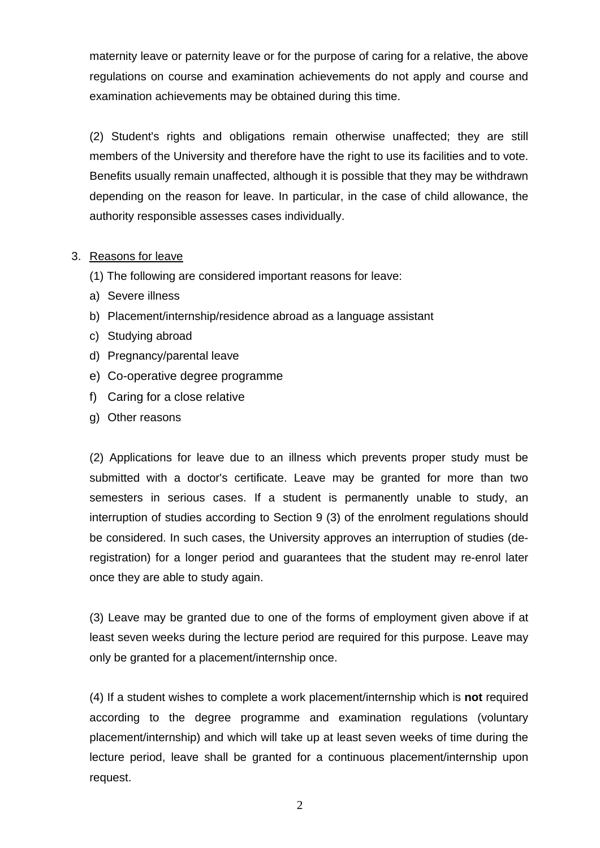maternity leave or paternity leave or for the purpose of caring for a relative, the above regulations on course and examination achievements do not apply and course and examination achievements may be obtained during this time.

 (2) Student's rights and obligations remain otherwise unaffected; they are still members of the University and therefore have the right to use its facilities and to vote. Benefits usually remain unaffected, although it is possible that they may be withdrawn depending on the reason for leave. In particular, in the case of child allowance, the authority responsible assesses cases individually.

#### 3. Reasons for leave

- (1) The following are considered important reasons for leave:
- a) Severe illness
- b) Placement/internship/residence abroad as a language assistant
- c) Studying abroad
- d) Pregnancy/parental leave
- e) Co-operative degree programme
- f) Caring for a close relative
- g) Other reasons

(2) Applications for leave due to an illness which prevents proper study must be submitted with a doctor's certificate. Leave may be granted for more than two semesters in serious cases. If a student is permanently unable to study, an interruption of studies according to Section 9 (3) of the enrolment regulations should be considered. In such cases, the University approves an interruption of studies (deregistration) for a longer period and guarantees that the student may re-enrol later once they are able to study again.

(3) Leave may be granted due to one of the forms of employment given above if at least seven weeks during the lecture period are required for this purpose. Leave may only be granted for a placement/internship once.

(4) If a student wishes to complete a work placement/internship which is **not** required according to the degree programme and examination regulations (voluntary placement/internship) and which will take up at least seven weeks of time during the lecture period, leave shall be granted for a continuous placement/internship upon request.

2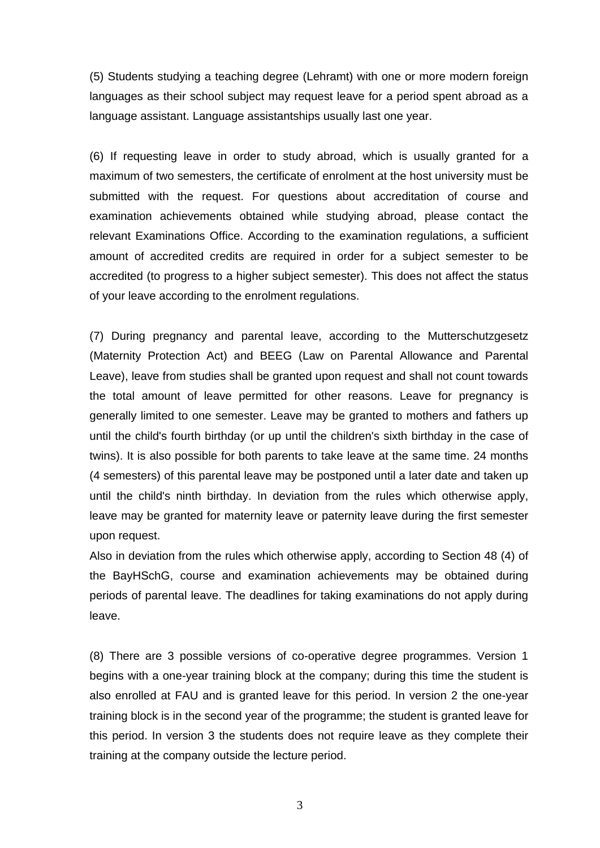(5) Students studying a teaching degree (Lehramt) with one or more modern foreign languages as their school subject may request leave for a period spent abroad as a language assistant. Language assistantships usually last one year.

(6) If requesting leave in order to study abroad, which is usually granted for a maximum of two semesters, the certificate of enrolment at the host university must be submitted with the request. For questions about accreditation of course and examination achievements obtained while studying abroad, please contact the relevant Examinations Office. According to the examination regulations, a sufficient amount of accredited credits are required in order for a subject semester to be accredited (to progress to a higher subject semester). This does not affect the status of your leave according to the enrolment regulations.

(7) During pregnancy and parental leave, according to the Mutterschutzgesetz (Maternity Protection Act) and BEEG (Law on Parental Allowance and Parental Leave), leave from studies shall be granted upon request and shall not count towards the total amount of leave permitted for other reasons. Leave for pregnancy is generally limited to one semester. Leave may be granted to mothers and fathers up until the child's fourth birthday (or up until the children's sixth birthday in the case of twins). It is also possible for both parents to take leave at the same time. 24 months (4 semesters) of this parental leave may be postponed until a later date and taken up until the child's ninth birthday. In deviation from the rules which otherwise apply, leave may be granted for maternity leave or paternity leave during the first semester upon request.

Also in deviation from the rules which otherwise apply, according to Section 48 (4) of the BayHSchG, course and examination achievements may be obtained during periods of parental leave. The deadlines for taking examinations do not apply during leave.

(8) There are 3 possible versions of co-operative degree programmes. Version 1 begins with a one-year training block at the company; during this time the student is also enrolled at FAU and is granted leave for this period. In version 2 the one-year training block is in the second year of the programme; the student is granted leave for this period. In version 3 the students does not require leave as they complete their training at the company outside the lecture period.

3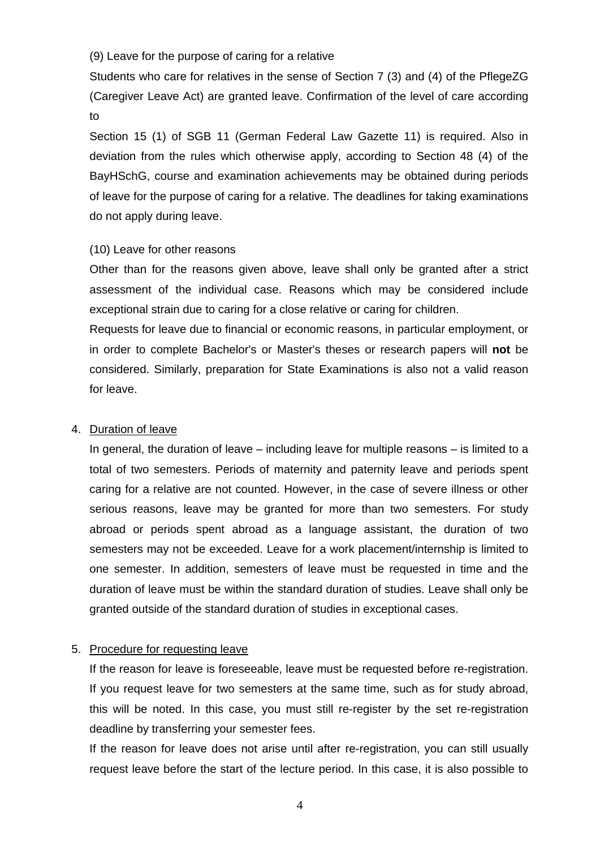(9) Leave for the purpose of caring for a relative

Students who care for relatives in the sense of Section 7 (3) and (4) of the PflegeZG (Caregiver Leave Act) are granted leave. Confirmation of the level of care according to

Section 15 (1) of SGB 11 (German Federal Law Gazette 11) is required. Also in deviation from the rules which otherwise apply, according to Section 48 (4) of the BayHSchG, course and examination achievements may be obtained during periods of leave for the purpose of caring for a relative. The deadlines for taking examinations do not apply during leave.

#### (10) Leave for other reasons

Other than for the reasons given above, leave shall only be granted after a strict assessment of the individual case. Reasons which may be considered include exceptional strain due to caring for a close relative or caring for children.

Requests for leave due to financial or economic reasons, in particular employment, or in order to complete Bachelor's or Master's theses or research papers will **not** be considered. Similarly, preparation for State Examinations is also not a valid reason for leave.

#### 4. Duration of leave

In general, the duration of leave – including leave for multiple reasons – is limited to a total of two semesters. Periods of maternity and paternity leave and periods spent caring for a relative are not counted. However, in the case of severe illness or other serious reasons, leave may be granted for more than two semesters. For study abroad or periods spent abroad as a language assistant, the duration of two semesters may not be exceeded. Leave for a work placement/internship is limited to one semester. In addition, semesters of leave must be requested in time and the duration of leave must be within the standard duration of studies. Leave shall only be granted outside of the standard duration of studies in exceptional cases.

## 5. Procedure for requesting leave

If the reason for leave is foreseeable, leave must be requested before re-registration. If you request leave for two semesters at the same time, such as for study abroad, this will be noted. In this case, you must still re-register by the set re-registration deadline by transferring your semester fees.

If the reason for leave does not arise until after re-registration, you can still usually request leave before the start of the lecture period. In this case, it is also possible to

4